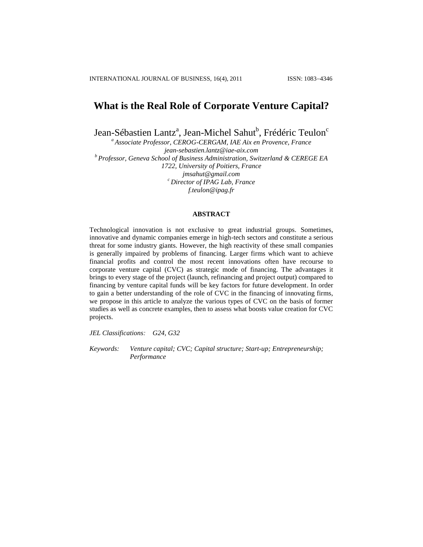# **What is the Real Role of Corporate Venture Capital?**

Jean-Sébastien Lantz<sup>a</sup>, Jean-Michel Sahut<sup>b</sup>, Frédéric Teulon<sup>c</sup>

*<sup>a</sup> Associate Professor, CEROG-CERGAM, IAE Aix en Provence, France [jean-sebastien.lantz@iae-aix.com](mailto:jean-sebastien.lantz@iae-aix.com) <sup>b</sup> Professor, Geneva School of Business Administration, Switzerland & CEREGE EA 1722, University of Poitiers, France [jmsahut@gmail.com](mailto:jmsahut@gmail.com) <sup>c</sup> Director of IPAG Lab, France [f.teulon@ipag.fr](mailto:f.teulon@ipag.fr)*

# **ABSTRACT**

Technological innovation is not exclusive to great industrial groups. Sometimes, innovative and dynamic companies emerge in high-tech sectors and constitute a serious threat for some industry giants. However, the high reactivity of these small companies is generally impaired by problems of financing. Larger firms which want to achieve financial profits and control the most recent innovations often have recourse to corporate venture capital (CVC) as strategic mode of financing. The advantages it brings to every stage of the project (launch, refinancing and project output) compared to financing by venture capital funds will be key factors for future development. In order to gain a better understanding of the role of CVC in the financing of innovating firms, we propose in this article to analyze the various types of CVC on the basis of former studies as well as concrete examples, then to assess what boosts value creation for CVC projects.

*JEL Classifications: G24, G32*

*Keywords: Venture capital; CVC; Capital structure; Start-up; Entrepreneurship; Performance*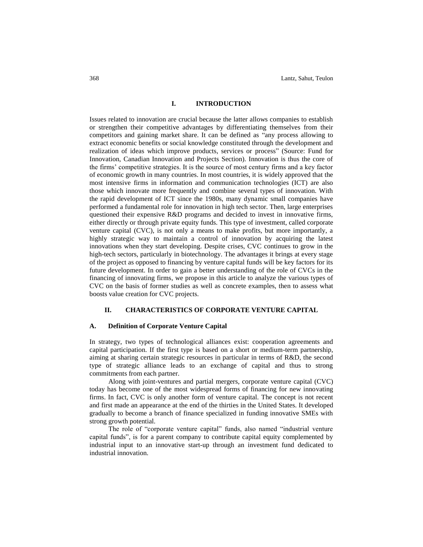# **I. INTRODUCTION**

Issues related to innovation are crucial because the latter allows companies to establish or strengthen their competitive advantages by differentiating themselves from their competitors and gaining market share. It can be defined as "any process allowing to extract economic benefits or social knowledge constituted through the development and realization of ideas which improve products, services or process" (Source: Fund for Innovation, Canadian Innovation and Projects Section). Innovation is thus the core of the firms" competitive strategies. It is the source of most century firms and a key factor of economic growth in many countries. In most countries, it is widely approved that the most intensive firms in information and communication technologies (ICT) are also those which innovate more frequently and combine several types of innovation. With the rapid development of ICT since the 1980s, many dynamic small companies have performed a fundamental role for innovation in high tech sector. Then, large enterprises questioned their expensive R&D programs and decided to invest in innovative firms, either directly or through private equity funds. This type of investment, called corporate venture capital (CVC), is not only a means to make profits, but more importantly, a highly strategic way to maintain a control of innovation by acquiring the latest innovations when they start developing. Despite crises, CVC continues to grow in the high-tech sectors, particularly in biotechnology. The advantages it brings at every stage of the project as opposed to financing by venture capital funds will be key factors for its future development. In order to gain a better understanding of the role of CVCs in the financing of innovating firms, we propose in this article to analyze the various types of CVC on the basis of former studies as well as concrete examples, then to assess what boosts value creation for CVC projects.

## **II. CHARACTERISTICS OF CORPORATE VENTURE CAPITAL**

## **A. Definition of Corporate Venture Capital**

In strategy, two types of technological alliances exist: cooperation agreements and capital participation. If the first type is based on a short or medium-term partnership, aiming at sharing certain strategic resources in particular in terms of R&D, the second type of strategic alliance leads to an exchange of capital and thus to strong commitments from each partner.

Along with joint-ventures and partial mergers, corporate venture capital (CVC) today has become one of the most widespread forms of financing for new innovating firms. In fact, CVC is only another form of venture capital. The concept is not recent and first made an appearance at the end of the thirties in the United States. It developed gradually to become a branch of finance specialized in funding innovative SMEs with strong growth potential.

The role of "corporate venture capital" funds, also named "industrial venture capital funds", is for a parent company to contribute capital equity complemented by industrial input to an innovative start-up through an investment fund dedicated to industrial innovation.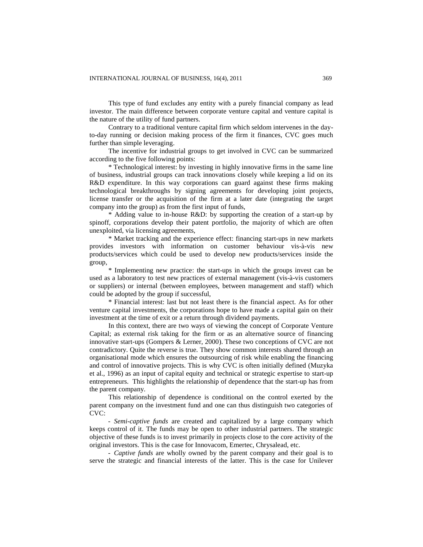This type of fund excludes any entity with a purely financial company as lead investor. The main difference between corporate venture capital and venture capital is the nature of the utility of fund partners.

Contrary to a traditional venture capital firm which seldom intervenes in the dayto-day running or decision making process of the firm it finances, CVC goes much further than simple leveraging.

The incentive for industrial groups to get involved in CVC can be summarized according to the five following points:

\* Technological interest: by investing in highly innovative firms in the same line of business, industrial groups can track innovations closely while keeping a lid on its R&D expenditure. In this way corporations can guard against these firms making technological breakthroughs by signing agreements for developing joint projects, license transfer or the acquisition of the firm at a later date (integrating the target company into the group) as from the first input of funds,

\* Adding value to in-house R&D: by supporting the creation of a start-up by spinoff, corporations develop their patent portfolio, the majority of which are often unexploited, via licensing agreements,

\* Market tracking and the experience effect: financing start-ups in new markets provides investors with information on customer behaviour vis-à-vis new products/services which could be used to develop new products/services inside the group,

\* Implementing new practice: the start-ups in which the groups invest can be used as a laboratory to test new practices of external management (vis-à-vis customers or suppliers) or internal (between employees, between management and staff) which could be adopted by the group if successful,

\* Financial interest: last but not least there is the financial aspect. As for other venture capital investments, the corporations hope to have made a capital gain on their investment at the time of exit or a return through dividend payments.

In this context, there are two ways of viewing the concept of Corporate Venture Capital; as external risk taking for the firm or as an alternative source of financing innovative start-ups (Gompers & Lerner, 2000). These two conceptions of CVC are not contradictory. Quite the reverse is true. They show common interests shared through an organisational mode which ensures the outsourcing of risk while enabling the financing and control of innovative projects. This is why CVC is often initially defined (Muzyka et al., 1996) as an input of capital equity and technical or strategic expertise to start-up entrepreneurs. This highlights the relationship of dependence that the start-up has from the parent company.

This relationship of dependence is conditional on the control exerted by the parent company on the investment fund and one can thus distinguish two categories of CVC:

- *Semi-captive funds* are created and capitalized by a large company which keeps control of it. The funds may be open to other industrial partners. The strategic objective of these funds is to invest primarily in projects close to the core activity of the original investors. This is the case for Innovacom, Emertec, Chrysalead, etc.

- *Captive funds* are wholly owned by the parent company and their goal is to serve the strategic and financial interests of the latter. This is the case for Unilever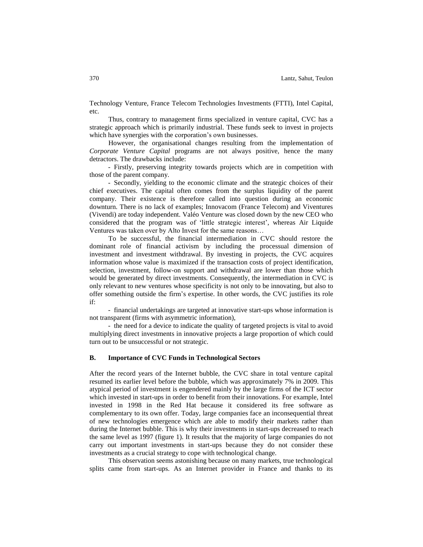Technology Venture, France Telecom Technologies Investments (FTTI), Intel Capital, etc.

Thus, contrary to management firms specialized in venture capital, CVC has a strategic approach which is primarily industrial. These funds seek to invest in projects which have synergies with the corporation's own businesses.

However, the organisational changes resulting from the implementation of *Corporate Venture Capital* programs are not always positive, hence the many detractors. The drawbacks include:

- Firstly, preserving integrity towards projects which are in competition with those of the parent company.

- Secondly, yielding to the economic climate and the strategic choices of their chief executives. The capital often comes from the surplus liquidity of the parent company. Their existence is therefore called into question during an economic downturn. There is no lack of examples; Innovacom (France Telecom) and Viventures (Vivendi) are today independent. Valéo Venture was closed down by the new CEO who considered that the program was of "little strategic interest", whereas Air Liquide Ventures was taken over by Alto Invest for the same reasons…

To be successful, the financial intermediation in CVC should restore the dominant role of financial activism by including the processual dimension of investment and investment withdrawal. By investing in projects, the CVC acquires information whose value is maximized if the transaction costs of project identification, selection, investment, follow-on support and withdrawal are lower than those which would be generated by direct investments. Consequently, the intermediation in CVC is only relevant to new ventures whose specificity is not only to be innovating, but also to offer something outside the firm"s expertise. In other words, the CVC justifies its role if:

- financial undertakings are targeted at innovative start-ups whose information is not transparent (firms with asymmetric information),

- the need for a device to indicate the quality of targeted projects is vital to avoid multiplying direct investments in innovative projects a large proportion of which could turn out to be unsuccessful or not strategic.

#### **B. Importance of CVC Funds in Technological Sectors**

After the record years of the Internet bubble, the CVC share in total venture capital resumed its earlier level before the bubble, which was approximately 7% in 2009. This atypical period of investment is engendered mainly by the large firms of the ICT sector which invested in start-ups in order to benefit from their innovations. For example, Intel invested in 1998 in the Red Hat because it considered its free software as complementary to its own offer. Today, large companies face an inconsequential threat of new technologies emergence which are able to modify their markets rather than during the Internet bubble. This is why their investments in start-ups decreased to reach the same level as 1997 (figure 1). It results that the majority of large companies do not carry out important investments in start-ups because they do not consider these investments as a crucial strategy to cope with technological change.

This observation seems astonishing because on many markets, true technological splits came from start-ups. As an Internet provider in France and thanks to its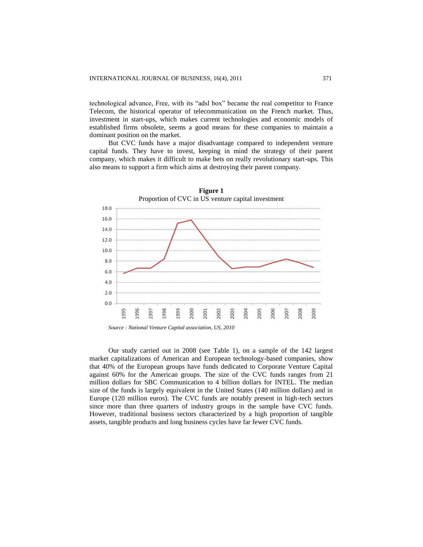technological advance, Free, with its "adsl box" became the real competitor to France Telecom, the historical operator of telecommunication on the French market. Thus, investment in start-ups, which makes current technologies and economic models of established firms obsolete, seems a good means for these companies to maintain a dominant position on the market.

But CVC funds have a major disadvantage compared to independent venture capital funds. They have to invest, keeping in mind the strategy of their parent company, which makes it difficult to make bets on really revolutionary start-ups. This also means to support a firm which aims at destroying their parent company.



Our study carried out in 2008 (see Table 1), on a sample of the 142 largest market capitalizations of American and European technology-based companies, show that 40% of the European groups have funds dedicated to Corporate Venture Capital against 60% for the American groups. The size of the CVC funds ranges from 21 million dollars for SBC Communication to 4 billion dollars for INTEL. The median size of the funds is largely equivalent in the United States (140 million dollars) and in Europe (120 million euros). The CVC funds are notably present in high-tech sectors since more than three quarters of industry groups in the sample have CVC funds. However, traditional business sectors characterized by a high proportion of tangible assets, tangible products and long business cycles have far fewer CVC funds.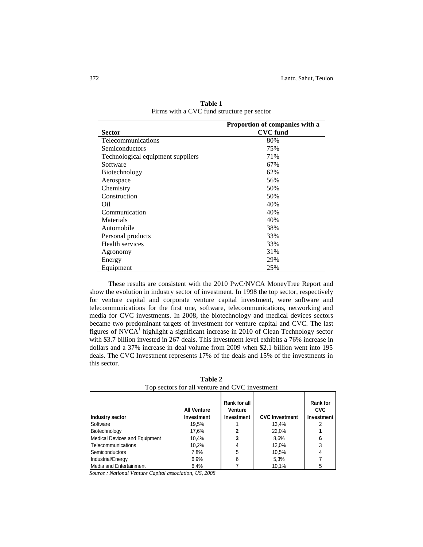|                                   | Proportion of companies with a |
|-----------------------------------|--------------------------------|
| <b>Sector</b>                     | <b>CVC</b> fund                |
| Telecommunications                | 80%                            |
| Semiconductors                    | 75%                            |
| Technological equipment suppliers | 71%                            |
| Software                          | 67%                            |
| Biotechnology                     | 62%                            |
| Aerospace                         | 56%                            |
| Chemistry                         | 50%                            |
| Construction                      | 50%                            |
| Oil                               | 40%                            |
| Communication                     | 40%                            |
| Materials                         | 40%                            |
| Automobile                        | 38%                            |
| Personal products                 | 33%                            |
| Health services                   | 33%                            |
| Agronomy                          | 31%                            |
| Energy                            | 29%                            |
| Equipment                         | 25%                            |

**Table 1** Firms with a CVC fund structure per sector

These results are consistent with the 2010 PwC/NVCA MoneyTree Report and show the evolution in industry sector of investment. In 1998 the top sector, respectively for venture capital and corporate venture capital investment, were software and telecommunications for the first one, software, telecommunications, networking and media for CVC investments. In 2008, the biotechnology and medical devices sectors became two predominant targets of investment for venture capital and CVC. The last figures of NVCA<sup>1</sup> highlight a significant increase in 2010 of Clean Technology sector with \$3.7 billion invested in 267 deals. This investment level exhibits a 76% increase in dollars and a 37% increase in deal volume from 2009 when \$2.1 billion went into 195 deals. The CVC Investment represents 17% of the deals and 15% of the investments in this sector.

| Industry sector               | <b>All Venture</b><br>Investment | Rank for all<br>Venture<br>Investment | <b>CVC Investment</b> | <b>Rank for</b><br><b>CVC</b><br><b>Investment</b> |
|-------------------------------|----------------------------------|---------------------------------------|-----------------------|----------------------------------------------------|
| Software                      | 19.5%                            |                                       | 13.4%                 | 2                                                  |
| Biotechnology                 | 17,6%                            | າ                                     | 22.0%                 |                                                    |
| Medical Devices and Equipment | 10.4%                            |                                       | 8,6%                  | 6                                                  |
| Telecommunications            | 10,2%                            |                                       | 12,0%                 | 3                                                  |
| <b>Semiconductors</b>         | 7,8%                             | 5                                     | 10,5%                 | 4                                                  |
| Industrial/Energy             | 6,9%                             | 6                                     | 5,3%                  |                                                    |
| Media and Entertainment       | 6,4%                             |                                       | 10.1%                 | 5                                                  |

**Table 2** Top sectors for all venture and CVC investment

*Source : National Venture Capital association, US, 2008*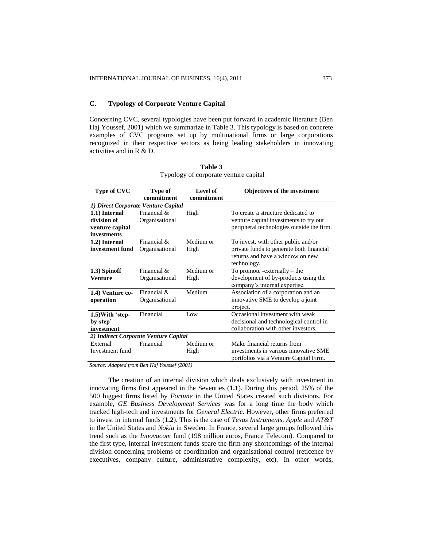# **C. Typology of Corporate Venture Capital**

Concerning CVC, several typologies have been put forward in academic literature (Ben Haj Youssef, 2001) which we summarize in Table 3. This typology is based on concrete examples of CVC programs set up by multinational firms or large corporations recognized in their respective sectors as being leading stakeholders in innovating activities and in R & D.

| <b>Type of CVC</b>                    | <b>Type of</b> | Level of   | <b>Objectives of the investment</b>       |  |  |
|---------------------------------------|----------------|------------|-------------------------------------------|--|--|
|                                       | commitment     | commitment |                                           |  |  |
| 1) Direct Corporate Venture Capital   |                |            |                                           |  |  |
| 1.1) Internal                         | Financial &    | High       | To create a structure dedicated to        |  |  |
| division of                           | Organisational |            | venture capital investments to try out    |  |  |
| venture capital                       |                |            | peripheral technologies outside the firm. |  |  |
| investments                           |                |            |                                           |  |  |
| 1.2) Internal                         | Financial $\&$ | Medium or  | To invest, with other public and/or       |  |  |
| investment fund                       | Organisational | High       | private funds to generate both financial  |  |  |
|                                       |                |            | returns and have a window on new          |  |  |
|                                       |                |            | technology.                               |  |  |
| 1.3) Spinoff                          | Financial &    | Medium or  | To promote -externally $-$ the            |  |  |
| <b>Venture</b>                        | Organisational | High       | development of by-products using the      |  |  |
|                                       |                |            | company's internal expertise.             |  |  |
| 1.4) Venture co-                      | Financial &    | Medium     | Association of a corporation and an       |  |  |
| operation                             | Organisational |            | innovative SME to develop a joint         |  |  |
|                                       |                |            | project.                                  |  |  |
| $1.5$ ) With 'step-                   | Financial      | Low        | Occasional investment with weak           |  |  |
| by-step'                              |                |            | decisional and technological control in   |  |  |
| investment                            |                |            | collaboration with other investors.       |  |  |
| 2) Indirect Corporate Venture Capital |                |            |                                           |  |  |
| External                              | Financial      | Medium or  | Make financial returns from               |  |  |
| Investment fund                       |                | High       | investments in various innovative SME     |  |  |
|                                       |                |            | portfolios via a Venture Capital Firm.    |  |  |
|                                       |                |            |                                           |  |  |

| Table 3                               |  |  |
|---------------------------------------|--|--|
| Typology of corporate venture capital |  |  |

*Source: Adapted from Ben Haj Youssef (2001)*

The creation of an internal division which deals exclusively with investment in innovating firms first appeared in the Seventies (**1.1**). During this period, 25% of the 500 biggest firms listed by *Fortune* in the United States created such divisions. For example, *GE Business Development Services* was for a long time the body which tracked high-tech and investments for *General Electric*. However, other firms preferred to invest in internal funds (**1.2**). This is the case of *Texas Instruments*, *Apple* and *AT&T* in the United States and *Nokia* in Sweden. In France, several large groups followed this trend such as the *Innovacom* fund (198 million euros, France Telecom). Compared to the first type, internal investment funds spare the firm any shortcomings of the internal division concerning problems of coordination and organisational control (reticence by executives, company culture, administrative complexity, etc). In other words,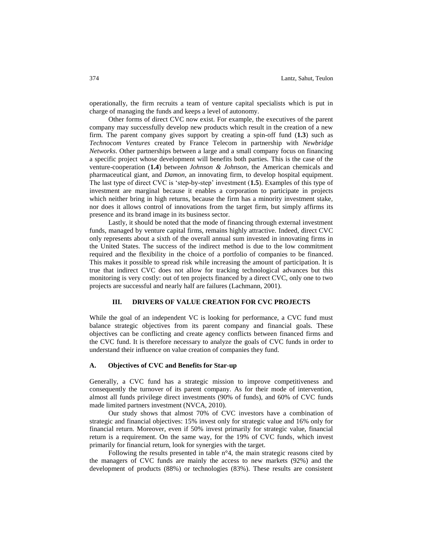operationally, the firm recruits a team of venture capital specialists which is put in charge of managing the funds and keeps a level of autonomy.

Other forms of direct CVC now exist. For example, the executives of the parent company may successfully develop new products which result in the creation of a new firm. The parent company gives support by creating a spin-off fund (**1.3**) such as *Technocom Ventures* created by France Telecom in partnership with *Newbridge Networks*. Other partnerships between a large and a small company focus on financing a specific project whose development will benefits both parties. This is the case of the venture-cooperation (**1.4**) between *Johnson & Johnson*, the American chemicals and pharmaceutical giant, and *Damon*, an innovating firm, to develop hospital equipment. The last type of direct CVC is "step-by-step" investment (**1.5**). Examples of this type of investment are marginal because it enables a corporation to participate in projects which neither bring in high returns, because the firm has a minority investment stake, nor does it allows control of innovations from the target firm, but simply affirms its presence and its brand image in its business sector.

Lastly, it should be noted that the mode of financing through external investment funds, managed by venture capital firms, remains highly attractive. Indeed, direct CVC only represents about a sixth of the overall annual sum invested in innovating firms in the United States. The success of the indirect method is due to the low commitment required and the flexibility in the choice of a portfolio of companies to be financed. This makes it possible to spread risk while increasing the amount of participation. It is true that indirect CVC does not allow for tracking technological advances but this monitoring is very costly: out of ten projects financed by a direct CVC, only one to two projects are successful and nearly half are failures (Lachmann, 2001).

#### **III. DRIVERS OF VALUE CREATION FOR CVC PROJECTS**

While the goal of an independent VC is looking for performance, a CVC fund must balance strategic objectives from its parent company and financial goals. These objectives can be conflicting and create agency conflicts between financed firms and the CVC fund. It is therefore necessary to analyze the goals of CVC funds in order to understand their influence on value creation of companies they fund.

#### **A. Objectives of CVC and Benefits for Star-up**

Generally, a CVC fund has a strategic mission to improve competitiveness and consequently the turnover of its parent company. As for their mode of intervention, almost all funds privilege direct investments (90% of funds), and 60% of CVC funds made limited partners investment (NVCA, 2010).

Our study shows that almost 70% of CVC investors have a combination of strategic and financial objectives: 15% invest only for strategic value and 16% only for financial return. Moreover, even if 50% invest primarily for strategic value, financial return is a requirement. On the same way, for the 19% of CVC funds, which invest primarily for financial return, look for synergies with the target.

Following the results presented in table n°4, the main strategic reasons cited by the managers of CVC funds are mainly the access to new markets (92%) and the development of products (88%) or technologies (83%). These results are consistent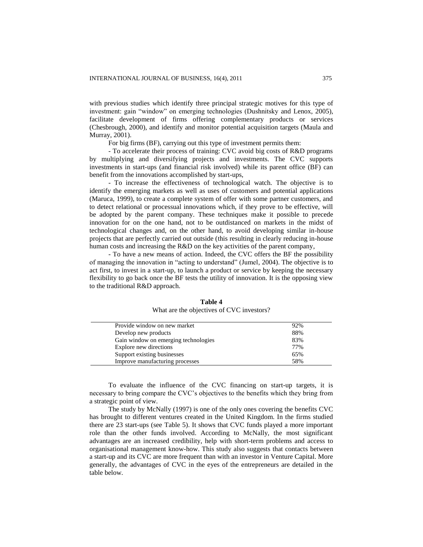with previous studies which identify three principal strategic motives for this type of investment: gain "window" on emerging technologies (Dushnitsky and Lenox, 2005), facilitate development of firms offering complementary products or services (Chesbrough, 2000), and identify and monitor potential acquisition targets (Maula and Murray, 2001).

For big firms (BF), carrying out this type of investment permits them:

- To accelerate their process of training: CVC avoid big costs of R&D programs by multiplying and diversifying projects and investments. The CVC supports investments in start-ups (and financial risk involved) while its parent office (BF) can benefit from the innovations accomplished by start-ups,

- To increase the effectiveness of technological watch. The objective is to identify the emerging markets as well as uses of customers and potential applications (Maruca, 1999), to create a complete system of offer with some partner customers, and to detect relational or processual innovations which, if they prove to be effective, will be adopted by the parent company. These techniques make it possible to precede innovation for on the one hand, not to be outdistanced on markets in the midst of technological changes and, on the other hand, to avoid developing similar in-house projects that are perfectly carried out outside (this resulting in clearly reducing in-house human costs and increasing the R&D on the key activities of the parent company,

- To have a new means of action. Indeed, the CVC offers the BF the possibility of managing the innovation in "acting to understand" (Jumel, 2004). The objective is to act first, to invest in a start-up, to launch a product or service by keeping the necessary flexibility to go back once the BF tests the utility of innovation. It is the opposing view to the traditional R&D approach.

| Provide window on new market         | 92% |
|--------------------------------------|-----|
| Develop new products                 | 88% |
| Gain window on emerging technologies | 83% |
| Explore new directions               | 77% |
| Support existing businesses          | 65% |
| Improve manufacturing processes      | 58% |
|                                      |     |

**Table 4** What are the objectives of CVC investors?

To evaluate the influence of the CVC financing on start-up targets, it is necessary to bring compare the CVC"s objectives to the benefits which they bring from a strategic point of view.

The study by McNally (1997) is one of the only ones covering the benefits CVC has brought to different ventures created in the United Kingdom. In the firms studied there are 23 start-ups (see Table 5). It shows that CVC funds played a more important role than the other funds involved. According to McNally, the most significant advantages are an increased credibility, help with short-term problems and access to organisational management know-how. This study also suggests that contacts between a start-up and its CVC are more frequent than with an investor in Venture Capital. More generally, the advantages of CVC in the eyes of the entrepreneurs are detailed in the table below.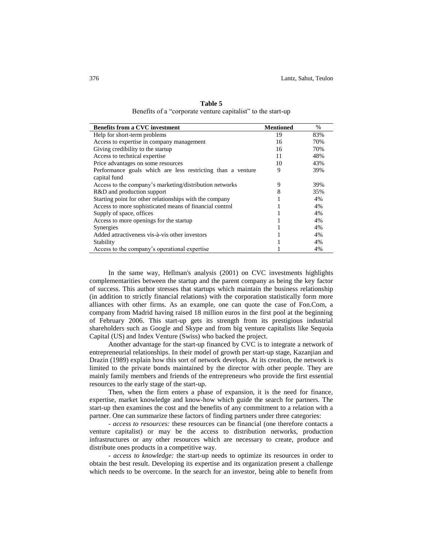| <b>Benefits from a CVC investment</b>                       | <b>Mentioned</b> | $\%$ |
|-------------------------------------------------------------|------------------|------|
| Help for short-term problems                                | 19               | 83%  |
| Access to expertise in company management                   | 16               | 70%  |
| Giving credibility to the startup                           | 16               | 70%  |
| Access to technical expertise                               | 11               | 48%  |
| Price advantages on some resources                          | 10               | 43%  |
| Performance goals which are less restricting than a venture | 9                | 39%  |
| capital fund                                                |                  |      |
| Access to the company's marketing/distribution networks     | 9                | 39%  |
| R&D and production support                                  |                  | 35%  |
| Starting point for other relationships with the company     |                  | 4%   |
| Access to more sophisticated means of financial control     |                  | 4%   |
| Supply of space, offices                                    |                  | 4%   |
| Access to more openings for the startup                     |                  | 4%   |
| Synergies                                                   |                  | 4%   |
| Added attractiveness vis-à-vis other investors              |                  | 4%   |
| Stability                                                   |                  | 4%   |
| Access to the company's operational expertise               |                  | 4%   |

**Table 5** Benefits of a "corporate venture capitalist" to the start-up

In the same way, Hellman's analysis (2001) on CVC investments highlights complementarities between the startup and the parent company as being the key factor of success. This author stresses that startups which maintain the business relationship (in addition to strictly financial relations) with the corporation statistically form more alliances with other firms. As an example, one can quote the case of Fon.Com, a company from Madrid having raised 18 million euros in the first pool at the beginning of February 2006. This start-up gets its strength from its prestigious industrial shareholders such as Google and Skype and from big venture capitalists like Sequoia Capital (US) and Index Venture (Swiss) who backed the project.

Another advantage for the start-up financed by CVC is to integrate a network of entrepreneurial relationships. In their model of growth per start-up stage, Kazanjian and Drazin (1989) explain how this sort of network develops. At its creation, the network is limited to the private bonds maintained by the director with other people. They are mainly family members and friends of the entrepreneurs who provide the first essential resources to the early stage of the start-up.

Then, when the firm enters a phase of expansion, it is the need for finance, expertise, market knowledge and know-how which guide the search for partners. The start-up then examines the cost and the benefits of any commitment to a relation with a partner. One can summarize these factors of finding partners under three categories:

*- access to resources:* these resources can be financial (one therefore contacts a venture capitalist) or may be the access to distribution networks, production infrastructures or any other resources which are necessary to create, produce and distribute ones products in a competitive way.

*- access to knowledge:* the start-up needs to optimize its resources in order to obtain the best result. Developing its expertise and its organization present a challenge which needs to be overcome. In the search for an investor, being able to benefit from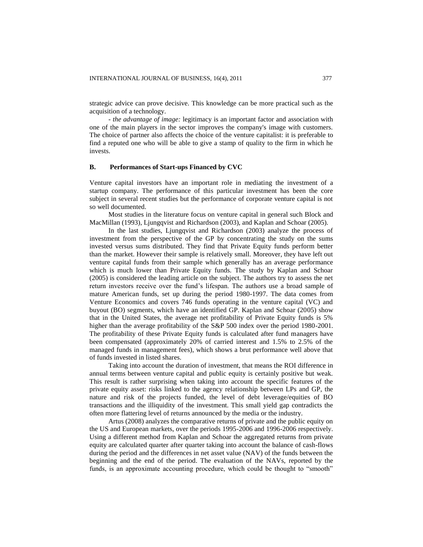strategic advice can prove decisive. This knowledge can be more practical such as the acquisition of a technology.

*- the advantage of image:* legitimacy is an important factor and association with one of the main players in the sector improves the company's image with customers. The choice of partner also affects the choice of the venture capitalist: it is preferable to find a reputed one who will be able to give a stamp of quality to the firm in which he invests.

# **B. Performances of Start-ups Financed by CVC**

Venture capital investors have an important role in mediating the investment of a startup company. The performance of this particular investment has been the core subject in several recent studies but the performance of corporate venture capital is not so well documented.

Most studies in the literature focus on venture capital in general such Block and MacMillan (1993), Ljungqvist and Richardson (2003), and Kaplan and Schoar (2005).

In the last studies, Ljungqvist and Richardson (2003) analyze the process of investment from the perspective of the GP by concentrating the study on the sums invested versus sums distributed. They find that Private Equity funds perform better than the market. However their sample is relatively small. Moreover, they have left out venture capital funds from their sample which generally has an average performance which is much lower than Private Equity funds. The study by Kaplan and Schoar (2005) is considered the leading article on the subject. The authors try to assess the net return investors receive over the fund"s lifespan. The authors use a broad sample of mature American funds, set up during the period 1980-1997. The data comes from Venture Economics and covers 746 funds operating in the venture capital (VC) and buyout (BO) segments, which have an identified GP. Kaplan and Schoar (2005) show that in the United States, the average net profitability of Private Equity funds is 5% higher than the average profitability of the S&P 500 index over the period 1980-2001. The profitability of these Private Equity funds is calculated after fund managers have been compensated (approximately 20% of carried interest and 1.5% to 2.5% of the managed funds in management fees), which shows a brut performance well above that of funds invested in listed shares.

Taking into account the duration of investment, that means the ROI difference in annual terms between venture capital and public equity is certainly positive but weak. This result is rather surprising when taking into account the specific features of the private equity asset: risks linked to the agency relationship between LPs and GP, the nature and risk of the projects funded, the level of debt leverage/equities of BO transactions and the illiquidity of the investment. This small yield gap contradicts the often more flattering level of returns announced by the media or the industry.

Artus (2008) analyzes the comparative returns of private and the public equity on the US and European markets, over the periods 1995-2006 and 1996-2006 respectively. Using a different method from Kaplan and Schoar the aggregated returns from private equity are calculated quarter after quarter taking into account the balance of cash-flows during the period and the differences in net asset value (NAV) of the funds between the beginning and the end of the period. The evaluation of the NAVs, reported by the funds, is an approximate accounting procedure, which could be thought to "smooth"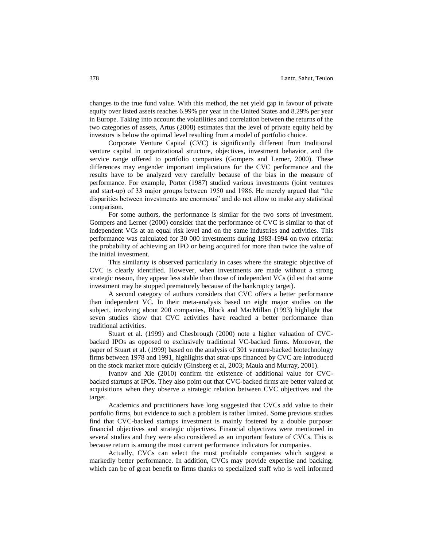changes to the true fund value. With this method, the net yield gap in favour of private equity over listed assets reaches 6.99% per year in the United States and 8.29% per year in Europe. Taking into account the volatilities and correlation between the returns of the two categories of assets, Artus (2008) estimates that the level of private equity held by investors is below the optimal level resulting from a model of portfolio choice.

Corporate Venture Capital (CVC) is significantly different from traditional venture capital in organizational structure, objectives, investment behavior, and the service range offered to portfolio companies (Gompers and Lerner, 2000). These differences may engender important implications for the CVC performance and the results have to be analyzed very carefully because of the bias in the measure of performance. For example, Porter (1987) studied various investments (joint ventures and start-up) of 33 major groups between 1950 and 1986. He merely argued that "the disparities between investments are enormous" and do not allow to make any statistical comparison.

For some authors, the performance is similar for the two sorts of investment. Gompers and Lerner (2000) consider that the performance of CVC is similar to that of independent VCs at an equal risk level and on the same industries and activities. This performance was calculated for 30 000 investments during 1983-1994 on two criteria: the probability of achieving an IPO or being acquired for more than twice the value of the initial investment.

This similarity is observed particularly in cases where the strategic objective of CVC is clearly identified. However, when investments are made without a strong strategic reason, they appear less stable than those of independent VCs (id est that some investment may be stopped prematurely because of the bankruptcy target).

A second category of authors considers that CVC offers a better performance than independent VC. In their meta-analysis based on eight major studies on the subject, involving about 200 companies, Block and MacMillan (1993) highlight that seven studies show that CVC activities have reached a better performance than traditional activities.

Stuart et al. (1999) and Chesbrough (2000) note a higher valuation of CVCbacked IPOs as opposed to exclusively traditional VC-backed firms. Moreover, the paper of Stuart et al. (1999) based on the analysis of 301 venture-backed biotechnology firms between 1978 and 1991, highlights that strat-ups financed by CVC are introduced on the stock market more quickly (Ginsberg et al, 2003; Maula and Murray, 2001).

Ivanov and Xie (2010) confirm the existence of additional value for CVCbacked startups at IPOs. They also point out that CVC-backed firms are better valued at acquisitions when they observe a strategic relation between CVC objectives and the target.

Academics and practitioners have long suggested that CVCs add value to their portfolio firms, but evidence to such a problem is rather limited. Some previous studies find that CVC-backed startups investment is mainly fostered by a double purpose: financial objectives and strategic objectives. Financial objectives were mentioned in several studies and they were also considered as an important feature of CVCs. This is because return is among the most current performance indicators for companies.

Actually, CVCs can select the most profitable companies which suggest a markedly better performance. In addition, CVCs may provide expertise and backing, which can be of great benefit to firms thanks to specialized staff who is well informed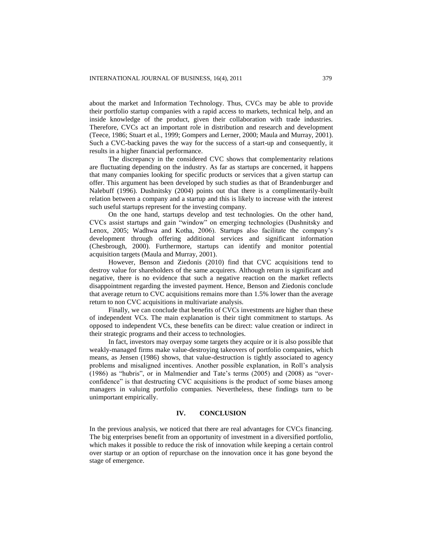about the market and Information Technology. Thus, CVCs may be able to provide their portfolio startup companies with a rapid access to markets, technical help, and an inside knowledge of the product, given their collaboration with trade industries. Therefore, CVCs act an important role in distribution and research and development (Teece, 1986; Stuart et al., 1999; Gompers and Lerner, 2000; Maula and Murray, 2001). Such a CVC-backing paves the way for the success of a start-up and consequently, it results in a higher financial performance.

The discrepancy in the considered CVC shows that complementarity relations are fluctuating depending on the industry. As far as startups are concerned, it happens that many companies looking for specific products or services that a given startup can offer. This argument has been developed by such studies as that of Brandenburger and Nalebuff (1996). Dushnitsky (2004) points out that there is a complimentarily-built relation between a company and a startup and this is likely to increase with the interest such useful startups represent for the investing company.

On the one hand, startups develop and test technologies. On the other hand, CVCs assist startups and gain "window" on emerging technologies (Dushnitsky and Lenox, 2005; Wadhwa and Kotha, 2006). Startups also facilitate the company"s development through offering additional services and significant information (Chesbrough, 2000). Furthermore, startups can identify and monitor potential acquisition targets (Maula and Murray, 2001).

However, Benson and Ziedonis (2010) find that CVC acquisitions tend to destroy value for shareholders of the same acquirers. Although return is significant and negative, there is no evidence that such a negative reaction on the market reflects disappointment regarding the invested payment. Hence, Benson and Ziedonis conclude that average return to CVC acquisitions remains more than 1.5% lower than the average return to non CVC acquisitions in multivariate analysis.

Finally, we can conclude that benefits of CVCs investments are higher than these of independent VCs. The main explanation is their tight commitment to startups. As opposed to independent VCs, these benefits can be direct: value creation or indirect in their strategic programs and their access to technologies.

In fact, investors may overpay some targets they acquire or it is also possible that weakly-managed firms make value-destroying takeovers of portfolio companies, which means, as Jensen (1986) shows, that value-destruction is tightly associated to agency problems and misaligned incentives. Another possible explanation, in Roll"s analysis (1986) as "hubris", or in Malmendier and Tate's terms  $(2005)$  and  $(2008)$  as "overconfidence" is that destructing CVC acquisitions is the product of some biases among managers in valuing portfolio companies. Nevertheless, these findings turn to be unimportant empirically.

#### **IV. CONCLUSION**

In the previous analysis, we noticed that there are real advantages for CVCs financing. The big enterprises benefit from an opportunity of investment in a diversified portfolio, which makes it possible to reduce the risk of innovation while keeping a certain control over startup or an option of repurchase on the innovation once it has gone beyond the stage of emergence.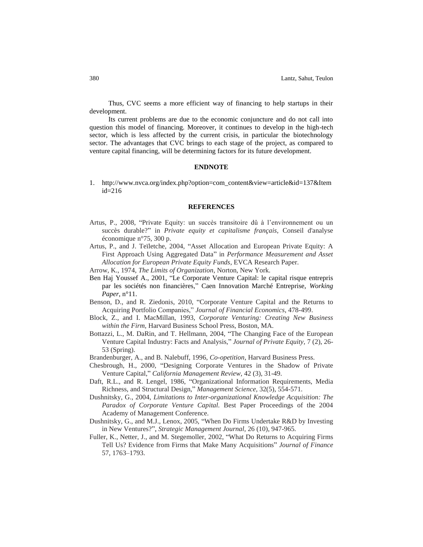Thus, CVC seems a more efficient way of financing to help startups in their development.

Its current problems are due to the economic conjuncture and do not call into question this model of financing. Moreover, it continues to develop in the high-tech sector, which is less affected by the current crisis, in particular the biotechnology sector. The advantages that CVC brings to each stage of the project, as compared to venture capital financing, will be determining factors for its future development.

#### **ENDNOTE**

1. [http://www.nvca.org/index.php?option=com\\_content&view=article&id=137&Item](http://www.nvca.org/index.php?option=com_content&view=article&id=137&Itemid=216) [id=216](http://www.nvca.org/index.php?option=com_content&view=article&id=137&Itemid=216)

#### **REFERENCES**

- Artus, P., 2008, "Private Equity: un succès transitoire dû à l"environnement ou un succès durable?" in *Private equity et capitalisme français*, Conseil d'analyse économique n°75, 300 p.
- Artus, P., and J. Teïletche, 2004, "Asset Allocation and European Private Equity: A First Approach Using Aggregated Data" in *Performance Measurement and Asset Allocation for European Private Equity Funds*, EVCA Research Paper.
- Arrow, K., 1974, *The Limits of Organization*, Norton, New York.
- Ben Haj Youssef A., 2001, "Le Corporate Venture Capital: le capital risque entrepris par les sociétés non financières," Caen Innovation Marché Entreprise, *Working Paper*, n°11.
- Benson, D., and R. Ziedonis, 2010, "Corporate Venture Capital and the Returns to Acquiring Portfolio Companies," *Journal of Financial Economics*, 478-499.
- Block, Z., and I. MacMillan, 1993, *Corporate Venturing: Creating New Business within the Firm,* Harvard Business School Press, Boston, MA.
- Bottazzi, L., M. DaRin, and T. Hellmann, 2004, "The Changing Face of the European Venture Capital Industry: Facts and Analysis," *Journal of Private Equity,* 7 (2), 26- 53 (Spring).
- Brandenburger, A., and B. Nalebuff, 1996, *Co-opetition*, Harvard Business Press.
- Chesbrough, H., 2000, "Designing Corporate Ventures in the Shadow of Private Venture Capital," *California Management Review,* 42 (3), 31-49.
- Daft, R.L., and R. Lengel, 1986, "Organizational Information Requirements, Media Richness, and Structural Design," *Management Science,* 32(5), 554-571.
- Dushnitsky, G., 2004, *Limitations to Inter-organizational Knowledge Acquisition: The Paradox of Corporate Venture Capital.* Best Paper Proceedings of the 2004 Academy of Management Conference.
- Dushnitsky, G., and M.J., Lenox, 2005, "When Do Firms Undertake R&D by Investing in New Ventures?", *Strategic Management Journal,* 26 (10), 947-965.
- Fuller, K., Netter, J., and M. Stegemoller, 2002, "What Do Returns to Acquiring Firms Tell Us? Evidence from Firms that Make Many Acquisitions" *Journal of Finance* 57, 1763–1793.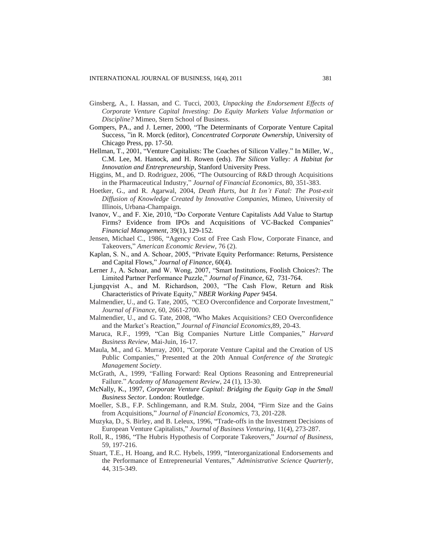- Ginsberg, A., I. Hassan, and C. Tucci, 2003, *Unpacking the Endorsement Effects of Corporate Venture Capital Investing: Do Equity Markets Value Information or Discipline?* Mimeo, Stern School of Business.
- Gompers, PA., and J. Lerner, 2000, "The Determinants of Corporate Venture Capital Success, "in R. Morck (editor), *Concentrated Corporate Ownership*, University of Chicago Press, pp. 17-50.
- Hellman, T., 2001, "Venture Capitalists: The Coaches of Silicon Valley." In Miller, W., C.M. Lee, M. Hanock, and H. Rowen (eds). *The Silicon Valley: A Habitat for Innovation and Entrepreneurship*, Stanford University Press.
- Higgins, M., and D. Rodriguez, 2006, "The Outsourcing of R&D through Acquisitions in the Pharmaceutical Industry," *Journal of Financial Economics*, 80, 351-383.
- Hoetker, G., and R. Agarwal, 2004, *Death Hurts, but It Isn't Fatal: The Post-exit Diffusion of Knowledge Created by Innovative Companies,* Mimeo, University of Illinois, Urbana-Champaign.
- Ivanov, V., and F. Xie, 2010, "Do Corporate Venture Capitalists Add Value to Startup Firms? Evidence from IPOs and Acquisitions of VC-Backed Companies" *Financial Management*, 39(1), 129-152*.*
- Jensen, Michael C., 1986, "Agency Cost of Free Cash Flow, Corporate Finance, and Takeovers," *American Economic Review*, 76 (2).
- Kaplan, S. N., and A. Schoar, 2005, "Private Equity Performance: Returns, Persistence and Capital Flows," *Journal of Finance*, 60(4).
- Lerner J., A. Schoar, and W. Wong, 2007, "Smart Institutions, Foolish Choices?: The Limited Partner Performance Puzzle," *Journal of Finance*, 62, 731-764.
- Ljungqvist A., and M. Richardson, 2003, "The Cash Flow, Return and Risk Characteristics of Private Equity," *NBER Working Paper* 9454.
- Malmendier, U., and G. Tate, 2005, "CEO Overconfidence and Corporate Investment," *Journal of Finance,* 60, 2661-2700.
- Malmendier, U., and G. Tate, 2008, "Who Makes Acquisitions? CEO Overconfidence and the Market"s Reaction," *Journal of Financial Economics,*89, 20-43.
- Maruca, R.F., 1999, "Can Big Companies Nurture Little Companies," *Harvard Business Review,* Mai-Juin, 16-17.
- Maula, M., and G. Murray, 2001, "Corporate Venture Capital and the Creation of US Public Companies," Presented at the 20th Annual *Conference of the Strategic Management Society*.
- McGrath, A., 1999, "Falling Forward: Real Options Reasoning and Entrepreneurial Failure." *Academy of Management Review*, 24 (1), 13-30.
- McNally, K., 1997, *Corporate Venture Capital: Bridging the Equity Gap in the Small Business Sector.* London: Routledge.
- Moeller, S.B., F.P. Schlingemann, and R.M. Stulz, 2004, "Firm Size and the Gains from Acquisitions," *Journal of Financial Economics,* 73, 201-228.
- Muzyka, D., S. Birley, and B. Leleux, 1996, "Trade-offs in the Investment Decisions of European Venture Capitalists," *Journal of Business Venturing*, 11(4), 273-287.
- Roll, R., 1986, "The Hubris Hypothesis of Corporate Takeovers," *Journal of Business,* 59, 197-216.
- Stuart, T.E., H. Hoang, and R.C. Hybels, 1999, "Interorganizational Endorsements and the Performance of Entrepreneurial Ventures," *Administrative Science Quarterly,* 44, 315-349.